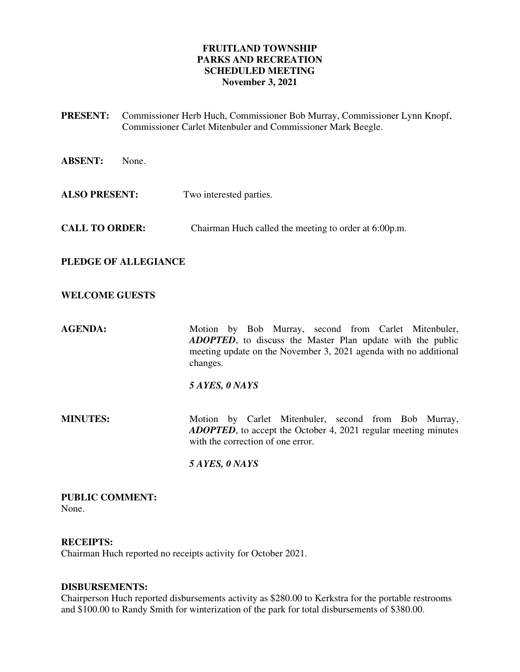### **FRUITLAND TOWNSHIP PARKS AND RECREATION SCHEDULED MEETING November 3, 2021**

- **PRESENT:** Commissioner Herb Huch, Commissioner Bob Murray, Commissioner Lynn Knopf, Commissioner Carlet Mitenbuler and Commissioner Mark Beegle.
- **ABSENT:** None.
- **ALSO PRESENT:** Two interested parties.
- **CALL TO ORDER:** Chairman Huch called the meeting to order at 6:00p.m.

**PLEDGE OF ALLEGIANCE** 

### **WELCOME GUESTS**

AGENDA: Motion by Bob Murray, second from Carlet Mitenbuler, *ADOPTED*, to discuss the Master Plan update with the public meeting update on the November 3, 2021 agenda with no additional changes.

### *5 AYES, 0 NAYS*

**MINUTES:** Motion by Carlet Mitenbuler, second from Bob Murray, *ADOPTED*, to accept the October 4, 2021 regular meeting minutes with the correction of one error.

 *5 AYES, 0 NAYS* 

#### **PUBLIC COMMENT:**  None.

### **RECEIPTS:**

Chairman Huch reported no receipts activity for October 2021.

### **DISBURSEMENTS:**

Chairperson Huch reported disbursements activity as \$280.00 to Kerkstra for the portable restrooms and \$100.00 to Randy Smith for winterization of the park for total disbursements of \$380.00.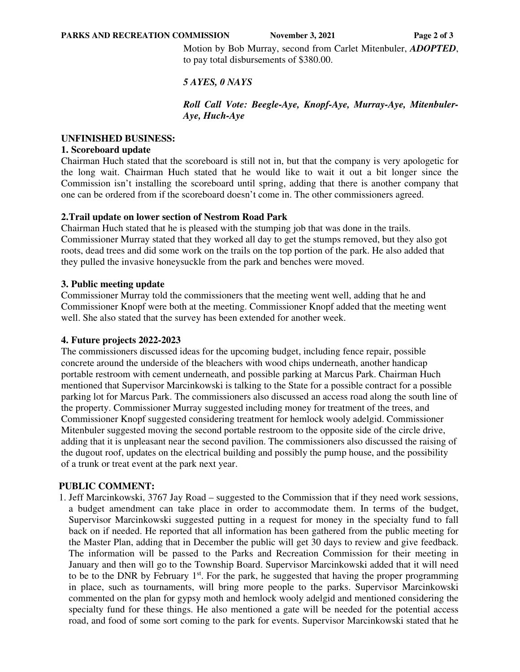**PARKS AND RECREATION COMMISSION** November 3, 2021 Page 2 of 3

Motion by Bob Murray, second from Carlet Mitenbuler, *ADOPTED*, to pay total disbursements of \$380.00.

# *5 AYES, 0 NAYS*

*Roll Call Vote: Beegle-Aye, Knopf-Aye, Murray-Aye, Mitenbuler-Aye, Huch-Aye* 

## **UNFINISHED BUSINESS:**

## **1. Scoreboard update**

Chairman Huch stated that the scoreboard is still not in, but that the company is very apologetic for the long wait. Chairman Huch stated that he would like to wait it out a bit longer since the Commission isn't installing the scoreboard until spring, adding that there is another company that one can be ordered from if the scoreboard doesn't come in. The other commissioners agreed.

# **2.Trail update on lower section of Nestrom Road Park**

Chairman Huch stated that he is pleased with the stumping job that was done in the trails. Commissioner Murray stated that they worked all day to get the stumps removed, but they also got roots, dead trees and did some work on the trails on the top portion of the park. He also added that they pulled the invasive honeysuckle from the park and benches were moved.

# **3. Public meeting update**

Commissioner Murray told the commissioners that the meeting went well, adding that he and Commissioner Knopf were both at the meeting. Commissioner Knopf added that the meeting went well. She also stated that the survey has been extended for another week.

# **4. Future projects 2022-2023**

The commissioners discussed ideas for the upcoming budget, including fence repair, possible concrete around the underside of the bleachers with wood chips underneath, another handicap portable restroom with cement underneath, and possible parking at Marcus Park. Chairman Huch mentioned that Supervisor Marcinkowski is talking to the State for a possible contract for a possible parking lot for Marcus Park. The commissioners also discussed an access road along the south line of the property. Commissioner Murray suggested including money for treatment of the trees, and Commissioner Knopf suggested considering treatment for hemlock wooly adelgid. Commissioner Mitenbuler suggested moving the second portable restroom to the opposite side of the circle drive, adding that it is unpleasant near the second pavilion. The commissioners also discussed the raising of the dugout roof, updates on the electrical building and possibly the pump house, and the possibility of a trunk or treat event at the park next year.

# **PUBLIC COMMENT:**

1. Jeff Marcinkowski, 3767 Jay Road – suggested to the Commission that if they need work sessions, a budget amendment can take place in order to accommodate them. In terms of the budget, Supervisor Marcinkowski suggested putting in a request for money in the specialty fund to fall back on if needed. He reported that all information has been gathered from the public meeting for the Master Plan, adding that in December the public will get 30 days to review and give feedback. The information will be passed to the Parks and Recreation Commission for their meeting in January and then will go to the Township Board. Supervisor Marcinkowski added that it will need to be to the DNR by February 1<sup>st</sup>. For the park, he suggested that having the proper programming in place, such as tournaments, will bring more people to the parks. Supervisor Marcinkowski commented on the plan for gypsy moth and hemlock wooly adelgid and mentioned considering the specialty fund for these things. He also mentioned a gate will be needed for the potential access road, and food of some sort coming to the park for events. Supervisor Marcinkowski stated that he